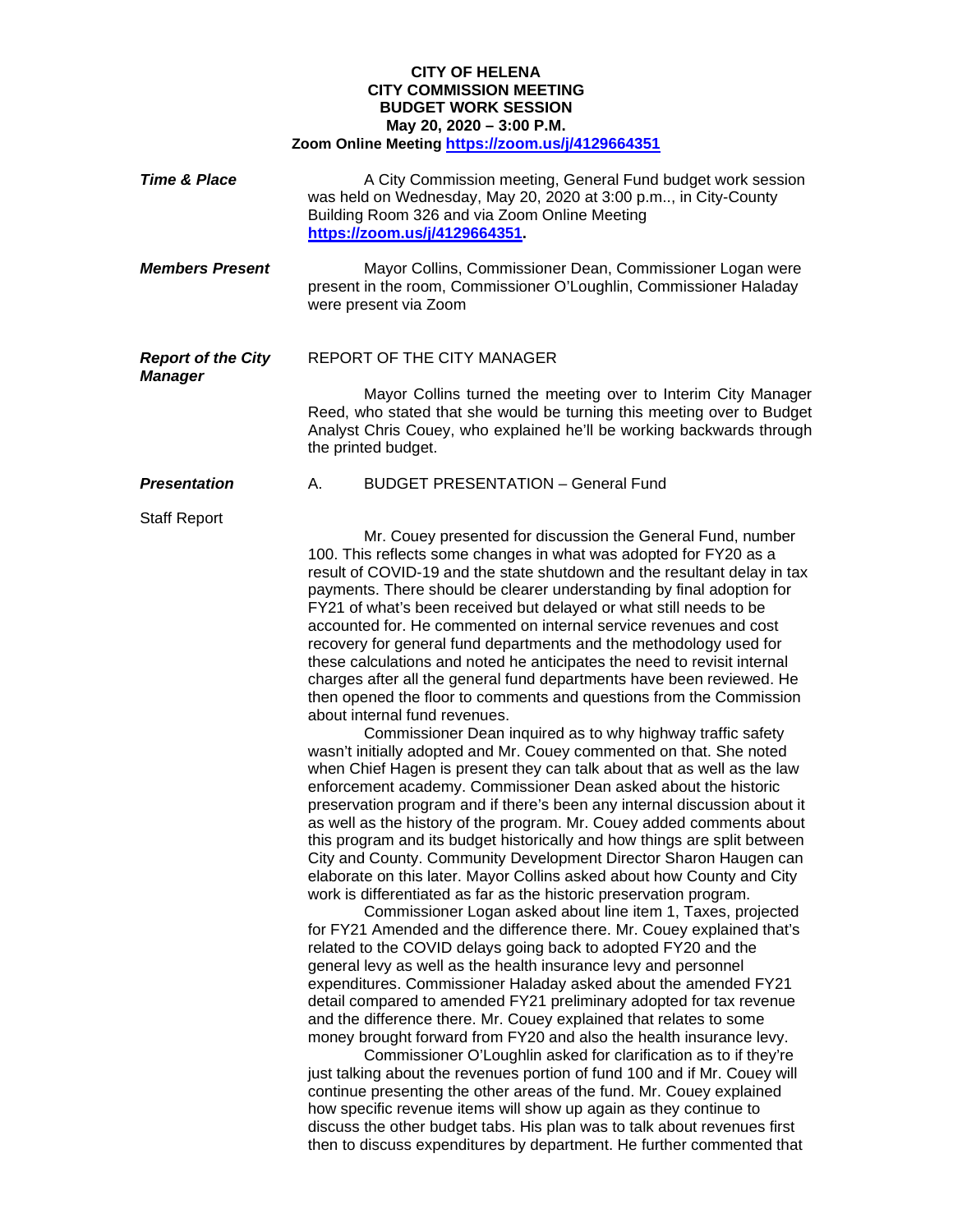## **CITY OF HELENA CITY COMMISSION MEETING BUDGET WORK SESSION May 20, 2020 – 3:00 P.M. Zoom Online Meeting<https://zoom.us/j/4129664351>**

| <b>Time &amp; Place</b>                     | A City Commission meeting, General Fund budget work session<br>was held on Wednesday, May 20, 2020 at 3:00 p.m, in City-County<br>Building Room 326 and via Zoom Online Meeting<br>https://zoom.us/j/4129664351                                                                                                                                                                                                                                                                                                                                                                                                                                                                                                                                                                                                                                                                                                                                                                                                                                                                                                                                                                                                                                                                                                                                                                                                                                                                                                                                                                                                                                                                                                                                                                                                                                                                                                                                                                                                                                                                                                                                                                                                                                                                                                                                                                                                                                                                                                                          |
|---------------------------------------------|------------------------------------------------------------------------------------------------------------------------------------------------------------------------------------------------------------------------------------------------------------------------------------------------------------------------------------------------------------------------------------------------------------------------------------------------------------------------------------------------------------------------------------------------------------------------------------------------------------------------------------------------------------------------------------------------------------------------------------------------------------------------------------------------------------------------------------------------------------------------------------------------------------------------------------------------------------------------------------------------------------------------------------------------------------------------------------------------------------------------------------------------------------------------------------------------------------------------------------------------------------------------------------------------------------------------------------------------------------------------------------------------------------------------------------------------------------------------------------------------------------------------------------------------------------------------------------------------------------------------------------------------------------------------------------------------------------------------------------------------------------------------------------------------------------------------------------------------------------------------------------------------------------------------------------------------------------------------------------------------------------------------------------------------------------------------------------------------------------------------------------------------------------------------------------------------------------------------------------------------------------------------------------------------------------------------------------------------------------------------------------------------------------------------------------------------------------------------------------------------------------------------------------------|
| <b>Members Present</b>                      | Mayor Collins, Commissioner Dean, Commissioner Logan were<br>present in the room, Commissioner O'Loughlin, Commissioner Haladay<br>were present via Zoom                                                                                                                                                                                                                                                                                                                                                                                                                                                                                                                                                                                                                                                                                                                                                                                                                                                                                                                                                                                                                                                                                                                                                                                                                                                                                                                                                                                                                                                                                                                                                                                                                                                                                                                                                                                                                                                                                                                                                                                                                                                                                                                                                                                                                                                                                                                                                                                 |
| <b>Report of the City</b><br><b>Manager</b> | <b>REPORT OF THE CITY MANAGER</b><br>Mayor Collins turned the meeting over to Interim City Manager<br>Reed, who stated that she would be turning this meeting over to Budget<br>Analyst Chris Couey, who explained he'll be working backwards through<br>the printed budget.                                                                                                                                                                                                                                                                                                                                                                                                                                                                                                                                                                                                                                                                                                                                                                                                                                                                                                                                                                                                                                                                                                                                                                                                                                                                                                                                                                                                                                                                                                                                                                                                                                                                                                                                                                                                                                                                                                                                                                                                                                                                                                                                                                                                                                                             |
| <b>Presentation</b>                         | <b>BUDGET PRESENTATION - General Fund</b><br>А.                                                                                                                                                                                                                                                                                                                                                                                                                                                                                                                                                                                                                                                                                                                                                                                                                                                                                                                                                                                                                                                                                                                                                                                                                                                                                                                                                                                                                                                                                                                                                                                                                                                                                                                                                                                                                                                                                                                                                                                                                                                                                                                                                                                                                                                                                                                                                                                                                                                                                          |
| <b>Staff Report</b>                         | Mr. Couey presented for discussion the General Fund, number<br>100. This reflects some changes in what was adopted for FY20 as a<br>result of COVID-19 and the state shutdown and the resultant delay in tax<br>payments. There should be clearer understanding by final adoption for<br>FY21 of what's been received but delayed or what still needs to be<br>accounted for. He commented on internal service revenues and cost<br>recovery for general fund departments and the methodology used for<br>these calculations and noted he anticipates the need to revisit internal<br>charges after all the general fund departments have been reviewed. He<br>then opened the floor to comments and questions from the Commission<br>about internal fund revenues.<br>Commissioner Dean inquired as to why highway traffic safety<br>wasn't initially adopted and Mr. Couey commented on that. She noted<br>when Chief Hagen is present they can talk about that as well as the law<br>enforcement academy. Commissioner Dean asked about the historic<br>preservation program and if there's been any internal discussion about it<br>as well as the history of the program. Mr. Couey added comments about<br>this program and its budget historically and how things are split between<br>City and County. Community Development Director Sharon Haugen can<br>elaborate on this later. Mayor Collins asked about how County and City<br>work is differentiated as far as the historic preservation program.<br>Commissioner Logan asked about line item 1, Taxes, projected<br>for FY21 Amended and the difference there. Mr. Couey explained that's<br>related to the COVID delays going back to adopted FY20 and the<br>general levy as well as the health insurance levy and personnel<br>expenditures. Commissioner Haladay asked about the amended FY21<br>detail compared to amended FY21 preliminary adopted for tax revenue<br>and the difference there. Mr. Couey explained that relates to some<br>money brought forward from FY20 and also the health insurance levy.<br>Commissioner O'Loughlin asked for clarification as to if they're<br>just talking about the revenues portion of fund 100 and if Mr. Couey will<br>continue presenting the other areas of the fund. Mr. Couey explained<br>how specific revenue items will show up again as they continue to<br>discuss the other budget tabs. His plan was to talk about revenues first<br>then to discuss expenditures by department. He further commented that |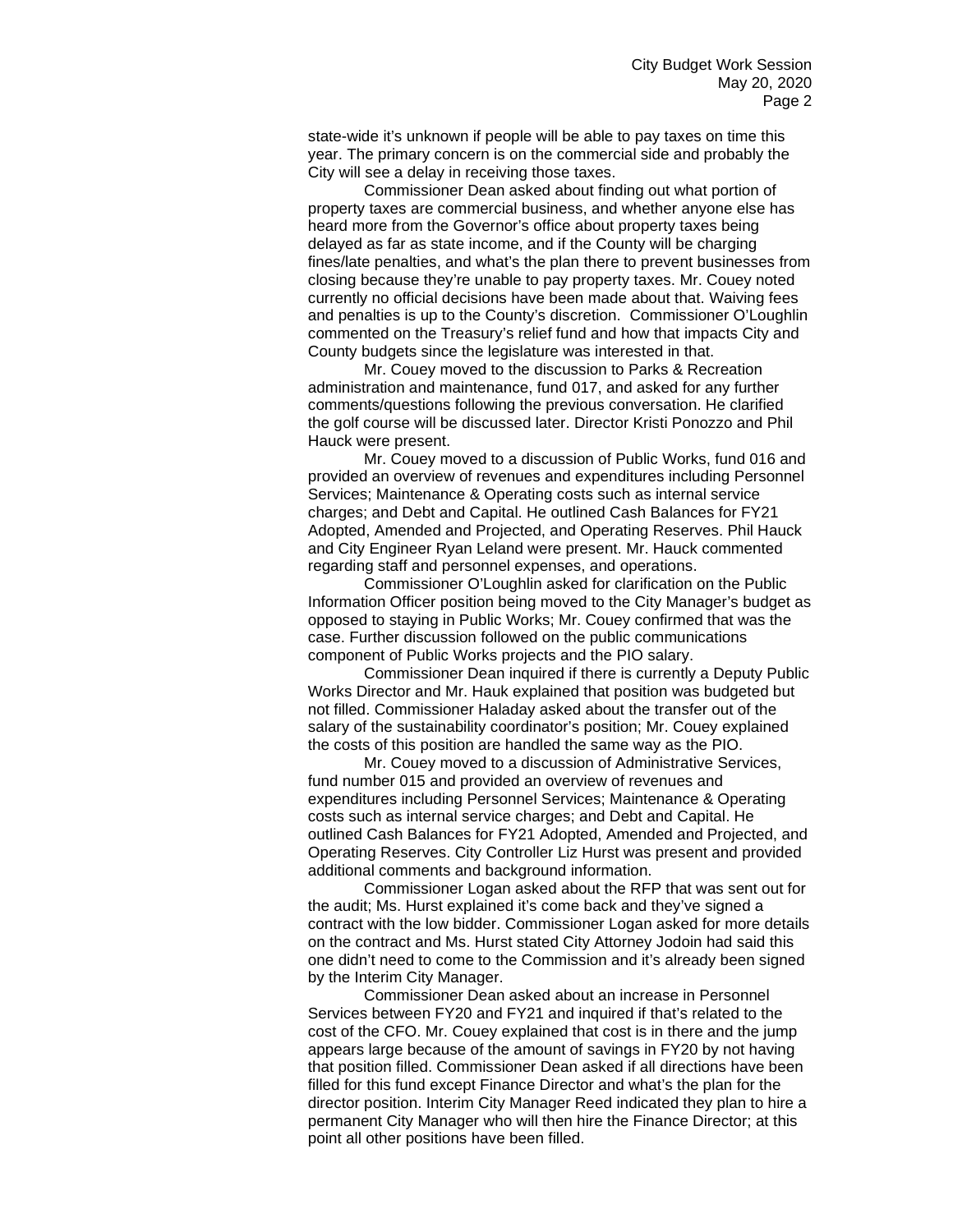state-wide it's unknown if people will be able to pay taxes on time this year. The primary concern is on the commercial side and probably the City will see a delay in receiving those taxes.

Commissioner Dean asked about finding out what portion of property taxes are commercial business, and whether anyone else has heard more from the Governor's office about property taxes being delayed as far as state income, and if the County will be charging fines/late penalties, and what's the plan there to prevent businesses from closing because they're unable to pay property taxes. Mr. Couey noted currently no official decisions have been made about that. Waiving fees and penalties is up to the County's discretion. Commissioner O'Loughlin commented on the Treasury's relief fund and how that impacts City and County budgets since the legislature was interested in that.

Mr. Couey moved to the discussion to Parks & Recreation administration and maintenance, fund 017, and asked for any further comments/questions following the previous conversation. He clarified the golf course will be discussed later. Director Kristi Ponozzo and Phil Hauck were present.

Mr. Couey moved to a discussion of Public Works, fund 016 and provided an overview of revenues and expenditures including Personnel Services; Maintenance & Operating costs such as internal service charges; and Debt and Capital. He outlined Cash Balances for FY21 Adopted, Amended and Projected, and Operating Reserves. Phil Hauck and City Engineer Ryan Leland were present. Mr. Hauck commented regarding staff and personnel expenses, and operations.

Commissioner O'Loughlin asked for clarification on the Public Information Officer position being moved to the City Manager's budget as opposed to staying in Public Works; Mr. Couey confirmed that was the case. Further discussion followed on the public communications component of Public Works projects and the PIO salary.

Commissioner Dean inquired if there is currently a Deputy Public Works Director and Mr. Hauk explained that position was budgeted but not filled. Commissioner Haladay asked about the transfer out of the salary of the sustainability coordinator's position; Mr. Couey explained the costs of this position are handled the same way as the PIO.

Mr. Couey moved to a discussion of Administrative Services, fund number 015 and provided an overview of revenues and expenditures including Personnel Services; Maintenance & Operating costs such as internal service charges; and Debt and Capital. He outlined Cash Balances for FY21 Adopted, Amended and Projected, and Operating Reserves. City Controller Liz Hurst was present and provided additional comments and background information.

Commissioner Logan asked about the RFP that was sent out for the audit; Ms. Hurst explained it's come back and they've signed a contract with the low bidder. Commissioner Logan asked for more details on the contract and Ms. Hurst stated City Attorney Jodoin had said this one didn't need to come to the Commission and it's already been signed by the Interim City Manager.

Commissioner Dean asked about an increase in Personnel Services between FY20 and FY21 and inquired if that's related to the cost of the CFO. Mr. Couey explained that cost is in there and the jump appears large because of the amount of savings in FY20 by not having that position filled. Commissioner Dean asked if all directions have been filled for this fund except Finance Director and what's the plan for the director position. Interim City Manager Reed indicated they plan to hire a permanent City Manager who will then hire the Finance Director; at this point all other positions have been filled.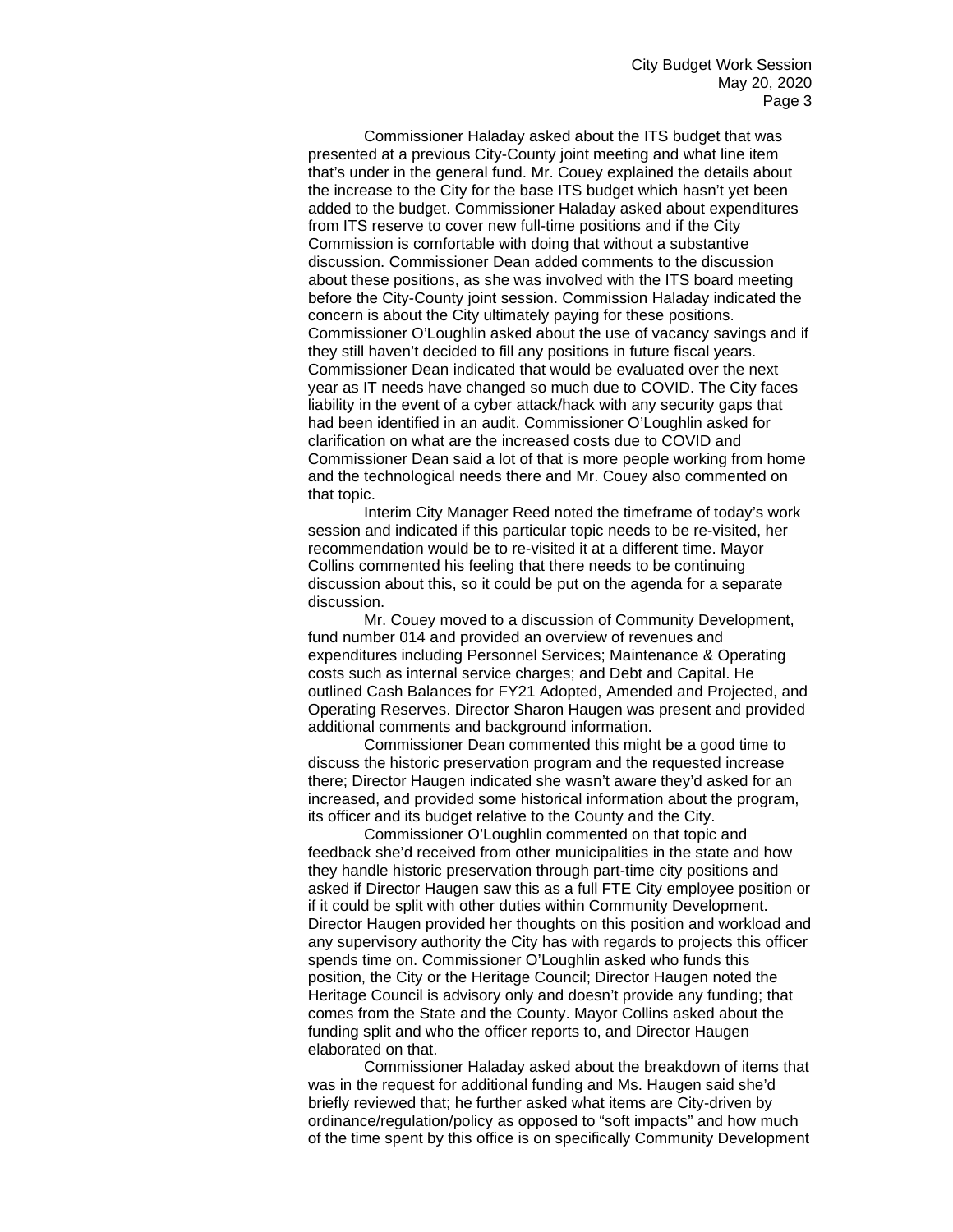Commissioner Haladay asked about the ITS budget that was presented at a previous City-County joint meeting and what line item that's under in the general fund. Mr. Couey explained the details about the increase to the City for the base ITS budget which hasn't yet been added to the budget. Commissioner Haladay asked about expenditures from ITS reserve to cover new full-time positions and if the City Commission is comfortable with doing that without a substantive discussion. Commissioner Dean added comments to the discussion about these positions, as she was involved with the ITS board meeting before the City-County joint session. Commission Haladay indicated the concern is about the City ultimately paying for these positions. Commissioner O'Loughlin asked about the use of vacancy savings and if they still haven't decided to fill any positions in future fiscal years. Commissioner Dean indicated that would be evaluated over the next year as IT needs have changed so much due to COVID. The City faces liability in the event of a cyber attack/hack with any security gaps that had been identified in an audit. Commissioner O'Loughlin asked for clarification on what are the increased costs due to COVID and Commissioner Dean said a lot of that is more people working from home and the technological needs there and Mr. Couey also commented on that topic.

Interim City Manager Reed noted the timeframe of today's work session and indicated if this particular topic needs to be re-visited, her recommendation would be to re-visited it at a different time. Mayor Collins commented his feeling that there needs to be continuing discussion about this, so it could be put on the agenda for a separate discussion.

Mr. Couey moved to a discussion of Community Development, fund number 014 and provided an overview of revenues and expenditures including Personnel Services; Maintenance & Operating costs such as internal service charges; and Debt and Capital. He outlined Cash Balances for FY21 Adopted, Amended and Projected, and Operating Reserves. Director Sharon Haugen was present and provided additional comments and background information.

Commissioner Dean commented this might be a good time to discuss the historic preservation program and the requested increase there; Director Haugen indicated she wasn't aware they'd asked for an increased, and provided some historical information about the program, its officer and its budget relative to the County and the City.

Commissioner O'Loughlin commented on that topic and feedback she'd received from other municipalities in the state and how they handle historic preservation through part-time city positions and asked if Director Haugen saw this as a full FTE City employee position or if it could be split with other duties within Community Development. Director Haugen provided her thoughts on this position and workload and any supervisory authority the City has with regards to projects this officer spends time on. Commissioner O'Loughlin asked who funds this position, the City or the Heritage Council; Director Haugen noted the Heritage Council is advisory only and doesn't provide any funding; that comes from the State and the County. Mayor Collins asked about the funding split and who the officer reports to, and Director Haugen elaborated on that.

Commissioner Haladay asked about the breakdown of items that was in the request for additional funding and Ms. Haugen said she'd briefly reviewed that; he further asked what items are City-driven by ordinance/regulation/policy as opposed to "soft impacts" and how much of the time spent by this office is on specifically Community Development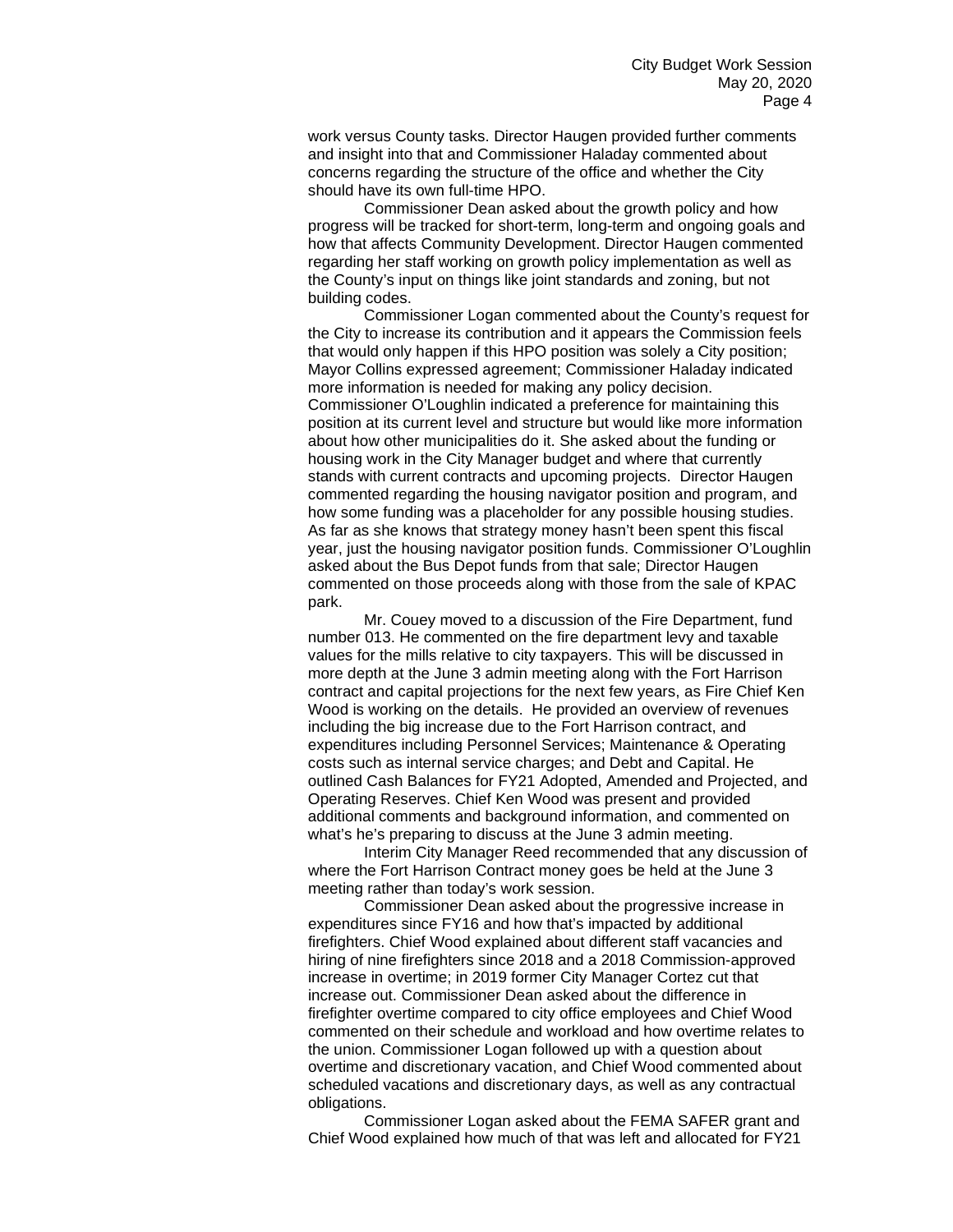work versus County tasks. Director Haugen provided further comments and insight into that and Commissioner Haladay commented about concerns regarding the structure of the office and whether the City should have its own full-time HPO.

Commissioner Dean asked about the growth policy and how progress will be tracked for short-term, long-term and ongoing goals and how that affects Community Development. Director Haugen commented regarding her staff working on growth policy implementation as well as the County's input on things like joint standards and zoning, but not building codes.

Commissioner Logan commented about the County's request for the City to increase its contribution and it appears the Commission feels that would only happen if this HPO position was solely a City position; Mayor Collins expressed agreement; Commissioner Haladay indicated more information is needed for making any policy decision. Commissioner O'Loughlin indicated a preference for maintaining this position at its current level and structure but would like more information about how other municipalities do it. She asked about the funding or housing work in the City Manager budget and where that currently stands with current contracts and upcoming projects. Director Haugen commented regarding the housing navigator position and program, and how some funding was a placeholder for any possible housing studies. As far as she knows that strategy money hasn't been spent this fiscal year, just the housing navigator position funds. Commissioner O'Loughlin asked about the Bus Depot funds from that sale; Director Haugen commented on those proceeds along with those from the sale of KPAC park.

Mr. Couey moved to a discussion of the Fire Department, fund number 013. He commented on the fire department levy and taxable values for the mills relative to city taxpayers. This will be discussed in more depth at the June 3 admin meeting along with the Fort Harrison contract and capital projections for the next few years, as Fire Chief Ken Wood is working on the details. He provided an overview of revenues including the big increase due to the Fort Harrison contract, and expenditures including Personnel Services; Maintenance & Operating costs such as internal service charges; and Debt and Capital. He outlined Cash Balances for FY21 Adopted, Amended and Projected, and Operating Reserves. Chief Ken Wood was present and provided additional comments and background information, and commented on what's he's preparing to discuss at the June 3 admin meeting.

Interim City Manager Reed recommended that any discussion of where the Fort Harrison Contract money goes be held at the June 3 meeting rather than today's work session.

Commissioner Dean asked about the progressive increase in expenditures since FY16 and how that's impacted by additional firefighters. Chief Wood explained about different staff vacancies and hiring of nine firefighters since 2018 and a 2018 Commission-approved increase in overtime; in 2019 former City Manager Cortez cut that increase out. Commissioner Dean asked about the difference in firefighter overtime compared to city office employees and Chief Wood commented on their schedule and workload and how overtime relates to the union. Commissioner Logan followed up with a question about overtime and discretionary vacation, and Chief Wood commented about scheduled vacations and discretionary days, as well as any contractual obligations.

Commissioner Logan asked about the FEMA SAFER grant and Chief Wood explained how much of that was left and allocated for FY21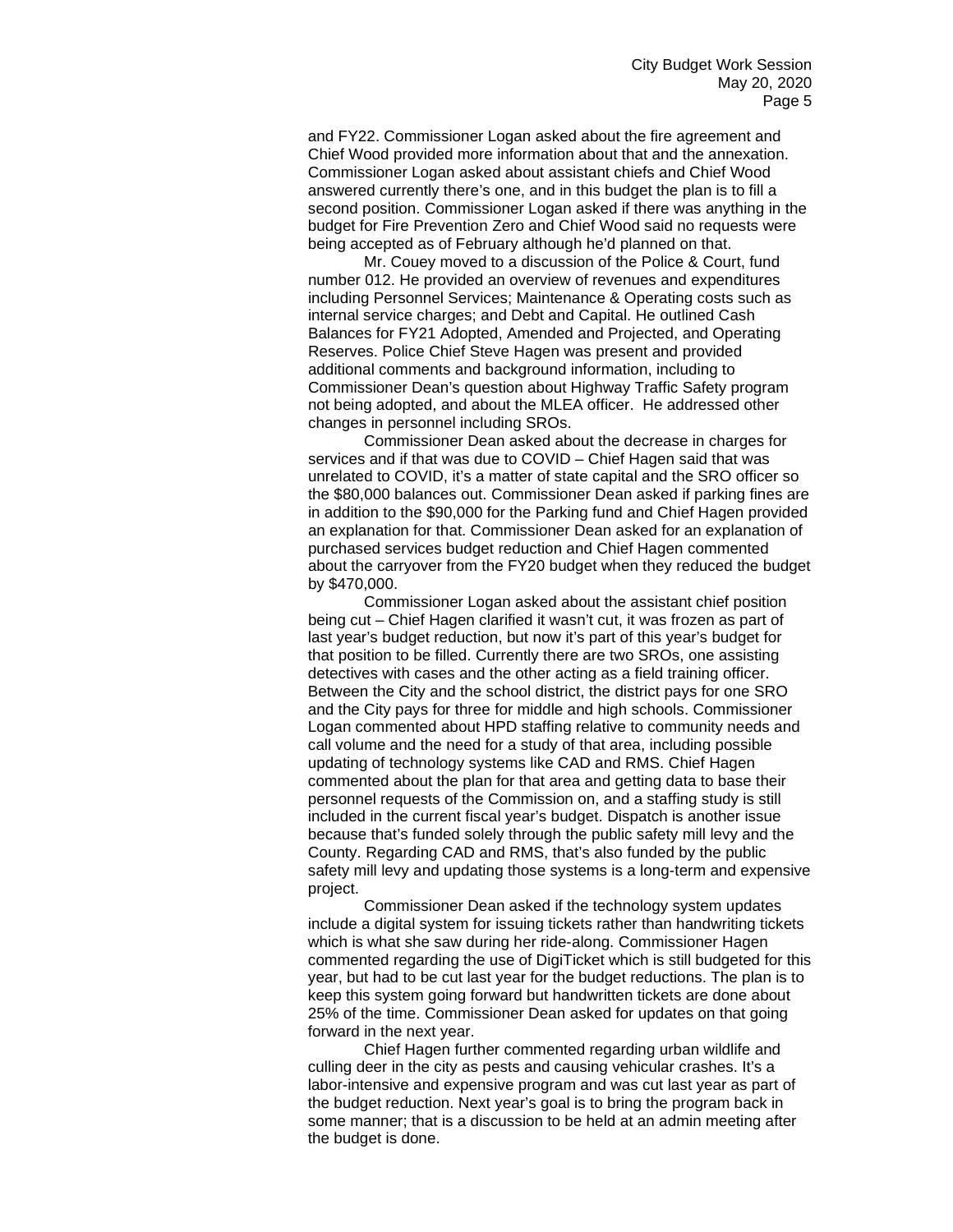and FY22. Commissioner Logan asked about the fire agreement and Chief Wood provided more information about that and the annexation. Commissioner Logan asked about assistant chiefs and Chief Wood answered currently there's one, and in this budget the plan is to fill a second position. Commissioner Logan asked if there was anything in the budget for Fire Prevention Zero and Chief Wood said no requests were being accepted as of February although he'd planned on that.

Mr. Couey moved to a discussion of the Police & Court, fund number 012. He provided an overview of revenues and expenditures including Personnel Services; Maintenance & Operating costs such as internal service charges; and Debt and Capital. He outlined Cash Balances for FY21 Adopted, Amended and Projected, and Operating Reserves. Police Chief Steve Hagen was present and provided additional comments and background information, including to Commissioner Dean's question about Highway Traffic Safety program not being adopted, and about the MLEA officer. He addressed other changes in personnel including SROs.

Commissioner Dean asked about the decrease in charges for services and if that was due to COVID – Chief Hagen said that was unrelated to COVID, it's a matter of state capital and the SRO officer so the \$80,000 balances out. Commissioner Dean asked if parking fines are in addition to the \$90,000 for the Parking fund and Chief Hagen provided an explanation for that. Commissioner Dean asked for an explanation of purchased services budget reduction and Chief Hagen commented about the carryover from the FY20 budget when they reduced the budget by \$470,000.

Commissioner Logan asked about the assistant chief position being cut – Chief Hagen clarified it wasn't cut, it was frozen as part of last year's budget reduction, but now it's part of this year's budget for that position to be filled. Currently there are two SROs, one assisting detectives with cases and the other acting as a field training officer. Between the City and the school district, the district pays for one SRO and the City pays for three for middle and high schools. Commissioner Logan commented about HPD staffing relative to community needs and call volume and the need for a study of that area, including possible updating of technology systems like CAD and RMS. Chief Hagen commented about the plan for that area and getting data to base their personnel requests of the Commission on, and a staffing study is still included in the current fiscal year's budget. Dispatch is another issue because that's funded solely through the public safety mill levy and the County. Regarding CAD and RMS, that's also funded by the public safety mill levy and updating those systems is a long-term and expensive project.

Commissioner Dean asked if the technology system updates include a digital system for issuing tickets rather than handwriting tickets which is what she saw during her ride-along. Commissioner Hagen commented regarding the use of DigiTicket which is still budgeted for this year, but had to be cut last year for the budget reductions. The plan is to keep this system going forward but handwritten tickets are done about 25% of the time. Commissioner Dean asked for updates on that going forward in the next year.

Chief Hagen further commented regarding urban wildlife and culling deer in the city as pests and causing vehicular crashes. It's a labor-intensive and expensive program and was cut last year as part of the budget reduction. Next year's goal is to bring the program back in some manner; that is a discussion to be held at an admin meeting after the budget is done.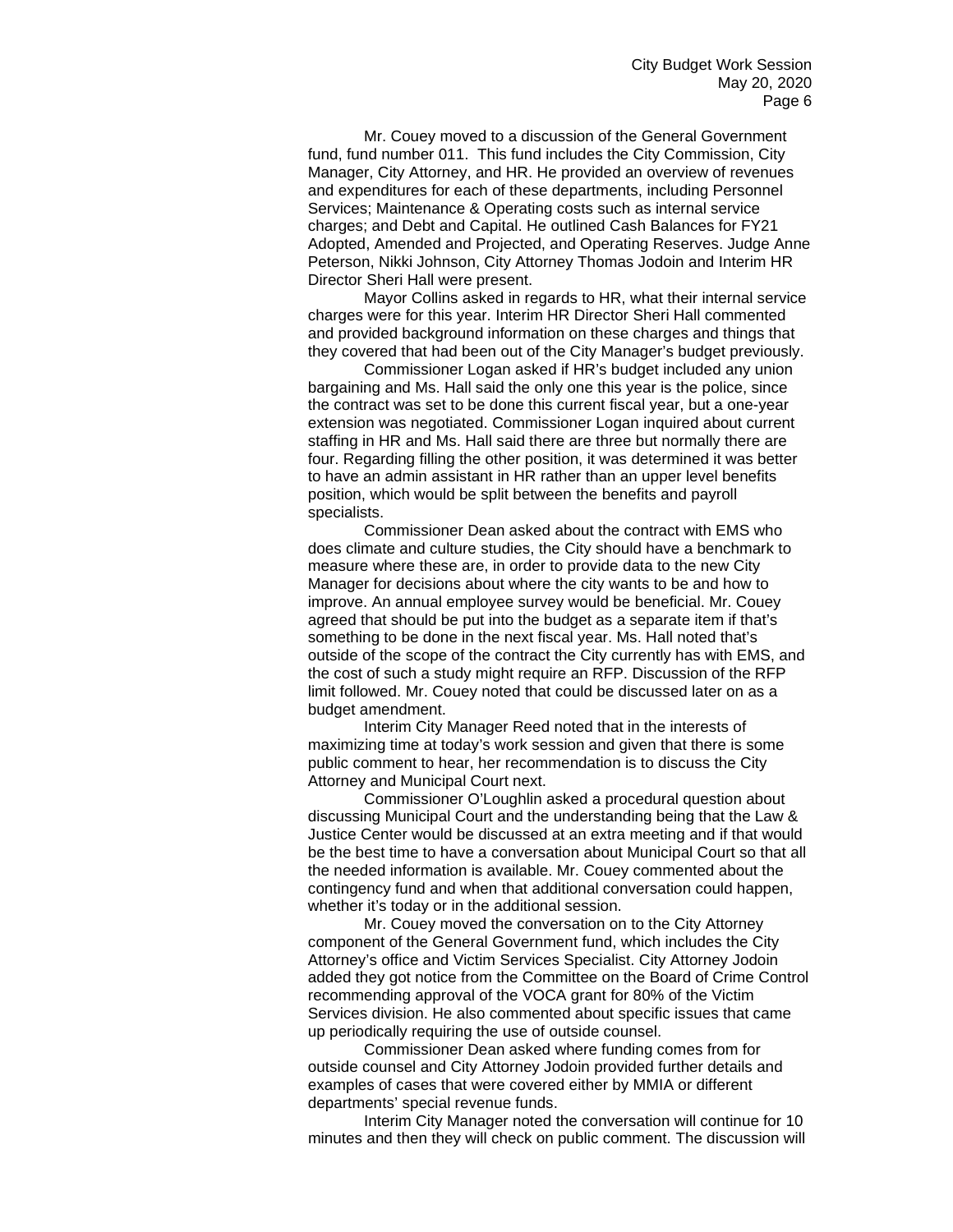Mr. Couey moved to a discussion of the General Government fund, fund number 011. This fund includes the City Commission, City Manager, City Attorney, and HR. He provided an overview of revenues and expenditures for each of these departments, including Personnel Services; Maintenance & Operating costs such as internal service charges; and Debt and Capital. He outlined Cash Balances for FY21 Adopted, Amended and Projected, and Operating Reserves. Judge Anne Peterson, Nikki Johnson, City Attorney Thomas Jodoin and Interim HR Director Sheri Hall were present.

Mayor Collins asked in regards to HR, what their internal service charges were for this year. Interim HR Director Sheri Hall commented and provided background information on these charges and things that they covered that had been out of the City Manager's budget previously.

Commissioner Logan asked if HR's budget included any union bargaining and Ms. Hall said the only one this year is the police, since the contract was set to be done this current fiscal year, but a one-year extension was negotiated. Commissioner Logan inquired about current staffing in HR and Ms. Hall said there are three but normally there are four. Regarding filling the other position, it was determined it was better to have an admin assistant in HR rather than an upper level benefits position, which would be split between the benefits and payroll specialists.

Commissioner Dean asked about the contract with EMS who does climate and culture studies, the City should have a benchmark to measure where these are, in order to provide data to the new City Manager for decisions about where the city wants to be and how to improve. An annual employee survey would be beneficial. Mr. Couey agreed that should be put into the budget as a separate item if that's something to be done in the next fiscal year. Ms. Hall noted that's outside of the scope of the contract the City currently has with EMS, and the cost of such a study might require an RFP. Discussion of the RFP limit followed. Mr. Couey noted that could be discussed later on as a budget amendment.

Interim City Manager Reed noted that in the interests of maximizing time at today's work session and given that there is some public comment to hear, her recommendation is to discuss the City Attorney and Municipal Court next.

Commissioner O'Loughlin asked a procedural question about discussing Municipal Court and the understanding being that the Law & Justice Center would be discussed at an extra meeting and if that would be the best time to have a conversation about Municipal Court so that all the needed information is available. Mr. Couey commented about the contingency fund and when that additional conversation could happen, whether it's today or in the additional session.

Mr. Couey moved the conversation on to the City Attorney component of the General Government fund, which includes the City Attorney's office and Victim Services Specialist. City Attorney Jodoin added they got notice from the Committee on the Board of Crime Control recommending approval of the VOCA grant for 80% of the Victim Services division. He also commented about specific issues that came up periodically requiring the use of outside counsel.

Commissioner Dean asked where funding comes from for outside counsel and City Attorney Jodoin provided further details and examples of cases that were covered either by MMIA or different departments' special revenue funds.

Interim City Manager noted the conversation will continue for 10 minutes and then they will check on public comment. The discussion will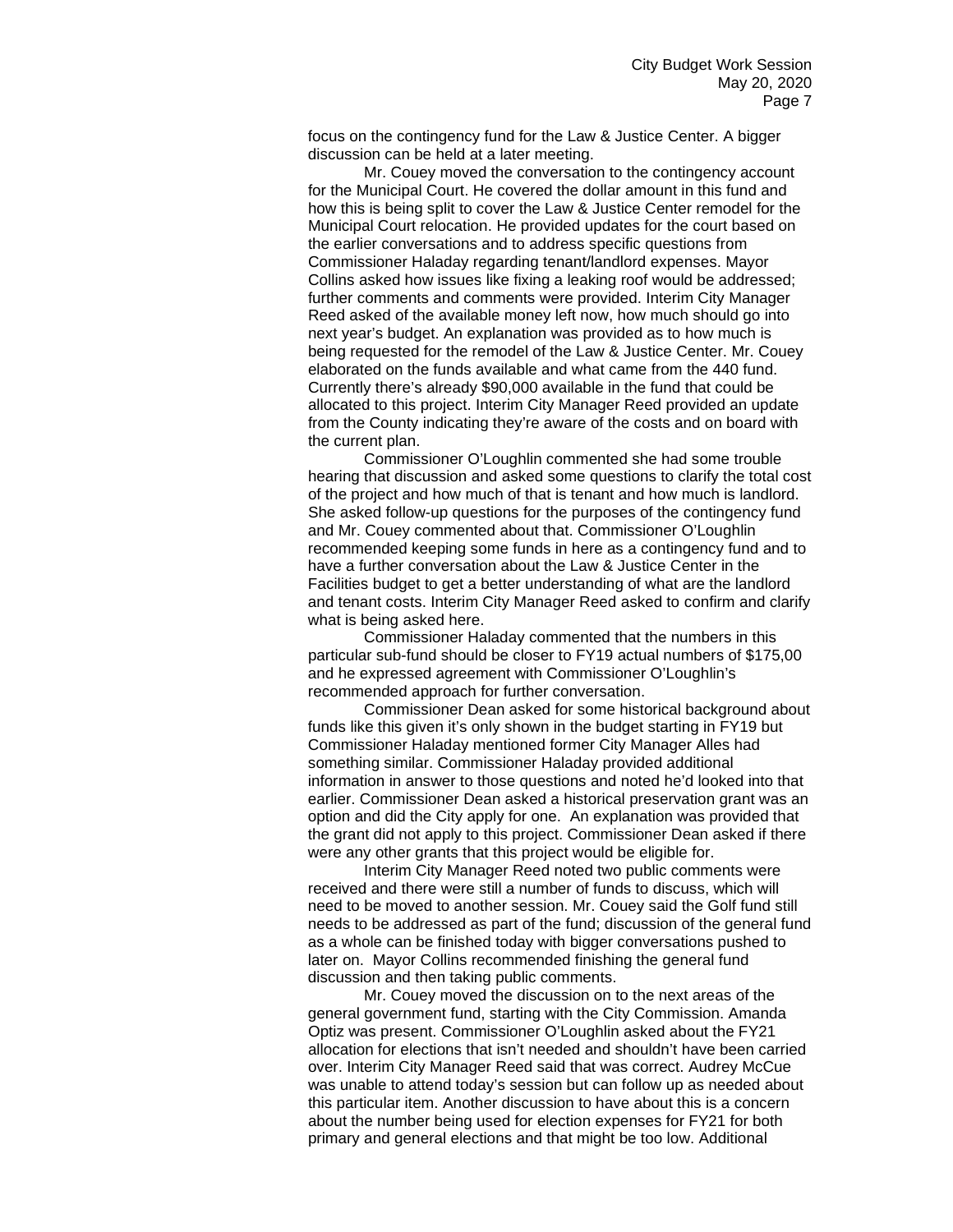focus on the contingency fund for the Law & Justice Center. A bigger discussion can be held at a later meeting.

Mr. Couey moved the conversation to the contingency account for the Municipal Court. He covered the dollar amount in this fund and how this is being split to cover the Law & Justice Center remodel for the Municipal Court relocation. He provided updates for the court based on the earlier conversations and to address specific questions from Commissioner Haladay regarding tenant/landlord expenses. Mayor Collins asked how issues like fixing a leaking roof would be addressed; further comments and comments were provided. Interim City Manager Reed asked of the available money left now, how much should go into next year's budget. An explanation was provided as to how much is being requested for the remodel of the Law & Justice Center. Mr. Couey elaborated on the funds available and what came from the 440 fund. Currently there's already \$90,000 available in the fund that could be allocated to this project. Interim City Manager Reed provided an update from the County indicating they're aware of the costs and on board with the current plan.

Commissioner O'Loughlin commented she had some trouble hearing that discussion and asked some questions to clarify the total cost of the project and how much of that is tenant and how much is landlord. She asked follow-up questions for the purposes of the contingency fund and Mr. Couey commented about that. Commissioner O'Loughlin recommended keeping some funds in here as a contingency fund and to have a further conversation about the Law & Justice Center in the Facilities budget to get a better understanding of what are the landlord and tenant costs. Interim City Manager Reed asked to confirm and clarify what is being asked here.

Commissioner Haladay commented that the numbers in this particular sub-fund should be closer to FY19 actual numbers of \$175,00 and he expressed agreement with Commissioner O'Loughlin's recommended approach for further conversation.

Commissioner Dean asked for some historical background about funds like this given it's only shown in the budget starting in FY19 but Commissioner Haladay mentioned former City Manager Alles had something similar. Commissioner Haladay provided additional information in answer to those questions and noted he'd looked into that earlier. Commissioner Dean asked a historical preservation grant was an option and did the City apply for one. An explanation was provided that the grant did not apply to this project. Commissioner Dean asked if there were any other grants that this project would be eligible for.

Interim City Manager Reed noted two public comments were received and there were still a number of funds to discuss, which will need to be moved to another session. Mr. Couey said the Golf fund still needs to be addressed as part of the fund; discussion of the general fund as a whole can be finished today with bigger conversations pushed to later on. Mayor Collins recommended finishing the general fund discussion and then taking public comments.

Mr. Couey moved the discussion on to the next areas of the general government fund, starting with the City Commission. Amanda Optiz was present. Commissioner O'Loughlin asked about the FY21 allocation for elections that isn't needed and shouldn't have been carried over. Interim City Manager Reed said that was correct. Audrey McCue was unable to attend today's session but can follow up as needed about this particular item. Another discussion to have about this is a concern about the number being used for election expenses for FY21 for both primary and general elections and that might be too low. Additional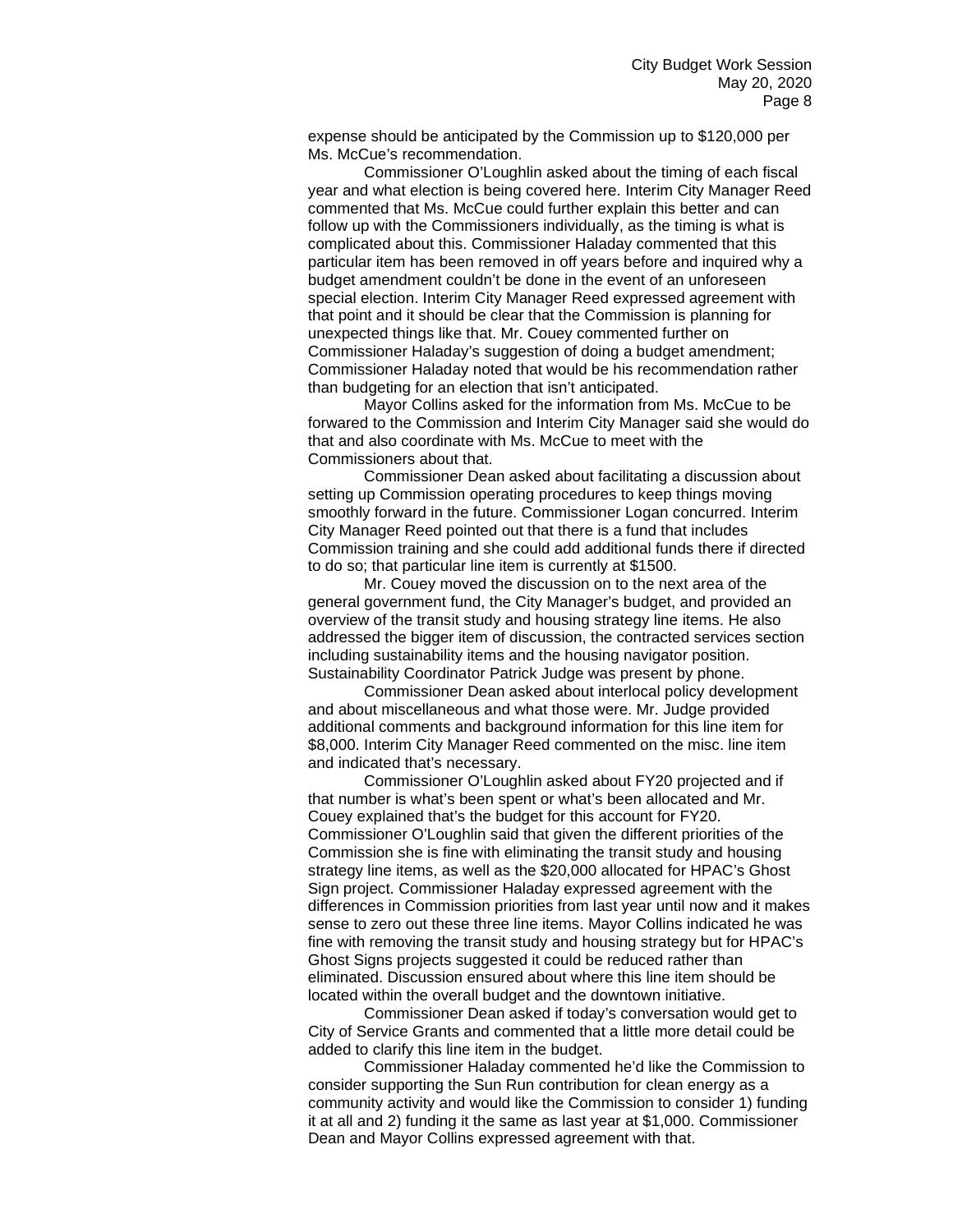expense should be anticipated by the Commission up to \$120,000 per Ms. McCue's recommendation.

Commissioner O'Loughlin asked about the timing of each fiscal year and what election is being covered here. Interim City Manager Reed commented that Ms. McCue could further explain this better and can follow up with the Commissioners individually, as the timing is what is complicated about this. Commissioner Haladay commented that this particular item has been removed in off years before and inquired why a budget amendment couldn't be done in the event of an unforeseen special election. Interim City Manager Reed expressed agreement with that point and it should be clear that the Commission is planning for unexpected things like that. Mr. Couey commented further on Commissioner Haladay's suggestion of doing a budget amendment; Commissioner Haladay noted that would be his recommendation rather than budgeting for an election that isn't anticipated.

Mayor Collins asked for the information from Ms. McCue to be forwared to the Commission and Interim City Manager said she would do that and also coordinate with Ms. McCue to meet with the Commissioners about that.

Commissioner Dean asked about facilitating a discussion about setting up Commission operating procedures to keep things moving smoothly forward in the future. Commissioner Logan concurred. Interim City Manager Reed pointed out that there is a fund that includes Commission training and she could add additional funds there if directed to do so; that particular line item is currently at \$1500.

Mr. Couey moved the discussion on to the next area of the general government fund, the City Manager's budget, and provided an overview of the transit study and housing strategy line items. He also addressed the bigger item of discussion, the contracted services section including sustainability items and the housing navigator position. Sustainability Coordinator Patrick Judge was present by phone.

Commissioner Dean asked about interlocal policy development and about miscellaneous and what those were. Mr. Judge provided additional comments and background information for this line item for \$8,000. Interim City Manager Reed commented on the misc. line item and indicated that's necessary.

Commissioner O'Loughlin asked about FY20 projected and if that number is what's been spent or what's been allocated and Mr. Couey explained that's the budget for this account for FY20. Commissioner O'Loughlin said that given the different priorities of the Commission she is fine with eliminating the transit study and housing strategy line items, as well as the \$20,000 allocated for HPAC's Ghost Sign project. Commissioner Haladay expressed agreement with the differences in Commission priorities from last year until now and it makes sense to zero out these three line items. Mayor Collins indicated he was fine with removing the transit study and housing strategy but for HPAC's Ghost Signs projects suggested it could be reduced rather than eliminated. Discussion ensured about where this line item should be located within the overall budget and the downtown initiative.

Commissioner Dean asked if today's conversation would get to City of Service Grants and commented that a little more detail could be added to clarify this line item in the budget.

Commissioner Haladay commented he'd like the Commission to consider supporting the Sun Run contribution for clean energy as a community activity and would like the Commission to consider 1) funding it at all and 2) funding it the same as last year at \$1,000. Commissioner Dean and Mayor Collins expressed agreement with that.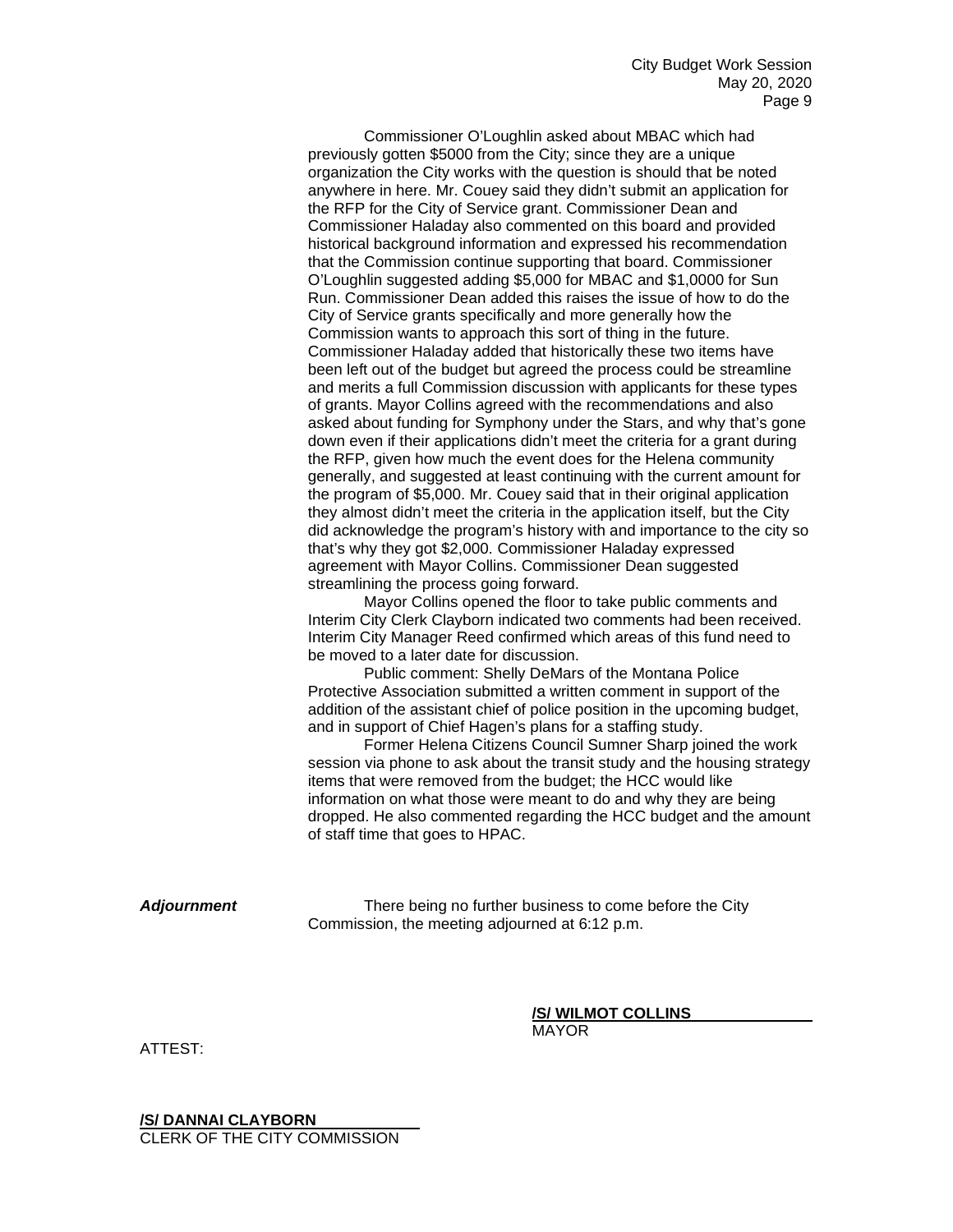Commissioner O'Loughlin asked about MBAC which had previously gotten \$5000 from the City; since they are a unique organization the City works with the question is should that be noted anywhere in here. Mr. Couey said they didn't submit an application for the RFP for the City of Service grant. Commissioner Dean and Commissioner Haladay also commented on this board and provided historical background information and expressed his recommendation that the Commission continue supporting that board. Commissioner O'Loughlin suggested adding \$5,000 for MBAC and \$1,0000 for Sun Run. Commissioner Dean added this raises the issue of how to do the City of Service grants specifically and more generally how the Commission wants to approach this sort of thing in the future. Commissioner Haladay added that historically these two items have been left out of the budget but agreed the process could be streamline and merits a full Commission discussion with applicants for these types of grants. Mayor Collins agreed with the recommendations and also asked about funding for Symphony under the Stars, and why that's gone down even if their applications didn't meet the criteria for a grant during the RFP, given how much the event does for the Helena community generally, and suggested at least continuing with the current amount for the program of \$5,000. Mr. Couey said that in their original application they almost didn't meet the criteria in the application itself, but the City did acknowledge the program's history with and importance to the city so that's why they got \$2,000. Commissioner Haladay expressed agreement with Mayor Collins. Commissioner Dean suggested streamlining the process going forward.

Mayor Collins opened the floor to take public comments and Interim City Clerk Clayborn indicated two comments had been received. Interim City Manager Reed confirmed which areas of this fund need to be moved to a later date for discussion.

Public comment: Shelly DeMars of the Montana Police Protective Association submitted a written comment in support of the addition of the assistant chief of police position in the upcoming budget, and in support of Chief Hagen's plans for a staffing study.

Former Helena Citizens Council Sumner Sharp joined the work session via phone to ask about the transit study and the housing strategy items that were removed from the budget; the HCC would like information on what those were meant to do and why they are being dropped. He also commented regarding the HCC budget and the amount of staff time that goes to HPAC.

*Adjournment* There being no further business to come before the City Commission, the meeting adjourned at 6:12 p.m.

**/S/ WILMOT COLLINS**

MAYOR

ATTEST:

**/S/ DANNAI CLAYBORN** CLERK OF THE CITY COMMISSION